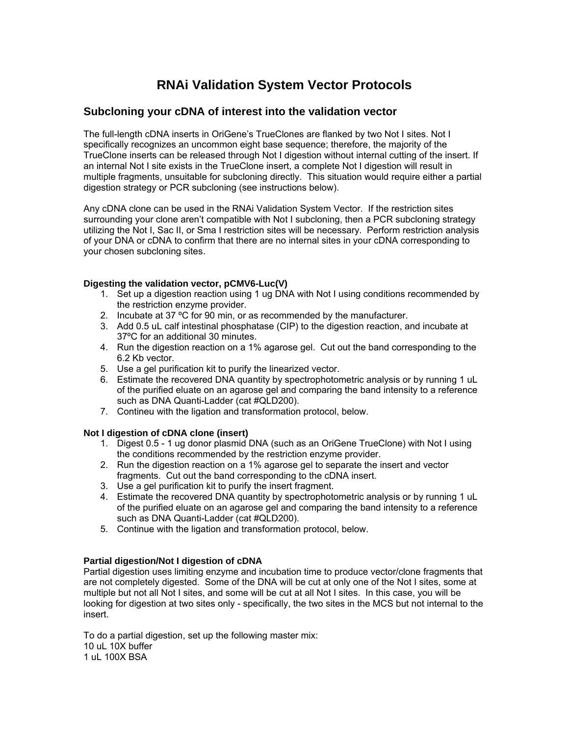# **RNAi Validation System Vector Protocols**

## **Subcloning your cDNA of interest into the validation vector**

The full-length cDNA inserts in OriGene's TrueClones are flanked by two Not I sites. Not I specifically recognizes an uncommon eight base sequence; therefore, the majority of the TrueClone inserts can be released through Not I digestion without internal cutting of the insert. If an internal Not I site exists in the TrueClone insert, a complete Not I digestion will result in multiple fragments, unsuitable for subcloning directly. This situation would require either a partial digestion strategy or PCR subcloning (see instructions below).

Any cDNA clone can be used in the RNAi Validation System Vector. If the restriction sites surrounding your clone aren't compatible with Not I subcloning, then a PCR subcloning strategy utilizing the Not I, Sac II, or Sma I restriction sites will be necessary. Perform restriction analysis of your DNA or cDNA to confirm that there are no internal sites in your cDNA corresponding to your chosen subcloning sites.

### **Digesting the validation vector, pCMV6-Luc(V)**

- 1. Set up a digestion reaction using 1 ug DNA with Not I using conditions recommended by the restriction enzyme provider.
- 2. Incubate at 37 ºC for 90 min, or as recommended by the manufacturer.
- 3. Add 0.5 uL calf intestinal phosphatase (CIP) to the digestion reaction, and incubate at 37ºC for an additional 30 minutes.
- 4. Run the digestion reaction on a 1% agarose gel. Cut out the band corresponding to the 6.2 Kb vector.
- 5. Use a gel purification kit to purify the linearized vector.
- 6. Estimate the recovered DNA quantity by spectrophotometric analysis or by running 1 uL of the purified eluate on an agarose gel and comparing the band intensity to a reference such as DNA Quanti-Ladder (cat #QLD200).
- 7. Contineu with the ligation and transformation protocol, below.

### **Not I digestion of cDNA clone (insert)**

- 1. Digest 0.5 1 ug donor plasmid DNA (such as an OriGene TrueClone) with Not I using the conditions recommended by the restriction enzyme provider.
- 2. Run the digestion reaction on a 1% agarose gel to separate the insert and vector fragments. Cut out the band corresponding to the cDNA insert.
- 3. Use a gel purification kit to purify the insert fragment.
- 4. Estimate the recovered DNA quantity by spectrophotometric analysis or by running 1 uL of the purified eluate on an agarose gel and comparing the band intensity to a reference such as DNA Quanti-Ladder (cat #QLD200).
- 5. Continue with the ligation and transformation protocol, below.

### **Partial digestion/Not I digestion of cDNA**

Partial digestion uses limiting enzyme and incubation time to produce vector/clone fragments that are not completely digested. Some of the DNA will be cut at only one of the Not I sites, some at multiple but not all Not I sites, and some will be cut at all Not I sites. In this case, you will be looking for digestion at two sites only - specifically, the two sites in the MCS but not internal to the insert.

To do a partial digestion, set up the following master mix: 10 uL 10X buffer 1 uL 100X BSA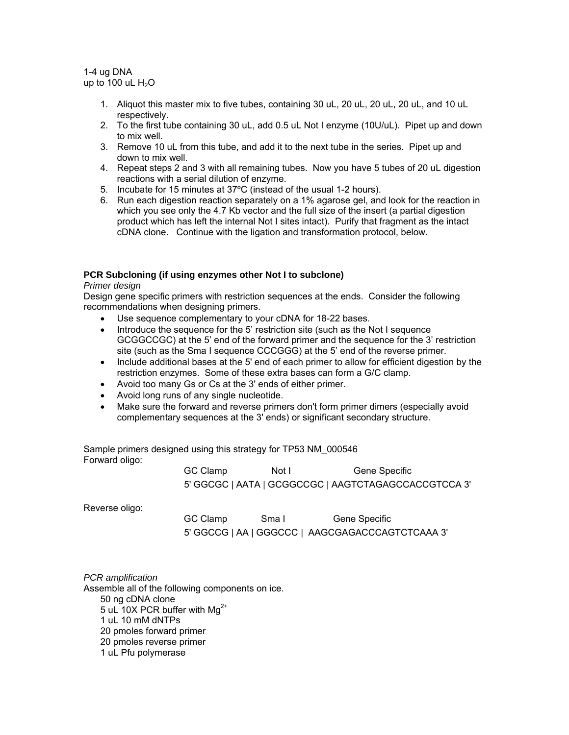1-4 ug DNA up to 100 uL  $H<sub>2</sub>O$ 

- 1. Aliquot this master mix to five tubes, containing 30 uL, 20 uL, 20 uL, 20 uL, and 10 uL respectively.
- 2. To the first tube containing 30 uL, add 0.5 uL Not I enzyme (10U/uL). Pipet up and down to mix well.
- 3. Remove 10 uL from this tube, and add it to the next tube in the series. Pipet up and down to mix well.
- 4. Repeat steps 2 and 3 with all remaining tubes. Now you have 5 tubes of 20 uL digestion reactions with a serial dilution of enzyme.
- 5. Incubate for 15 minutes at 37ºC (instead of the usual 1-2 hours).
- 6. Run each digestion reaction separately on a 1% agarose gel, and look for the reaction in which you see only the 4.7 Kb vector and the full size of the insert (a partial digestion product which has left the internal Not I sites intact). Purify that fragment as the intact cDNA clone. Continue with the ligation and transformation protocol, below.

## **PCR Subcloning (if using enzymes other Not I to subclone)**

*Primer design* 

Design gene specific primers with restriction sequences at the ends. Consider the following recommendations when designing primers.

- Use sequence complementary to your cDNA for 18-22 bases.
- Introduce the sequence for the 5' restriction site (such as the Not I sequence GCGGCCGC) at the 5' end of the forward primer and the sequence for the 3' restriction site (such as the Sma I sequence CCCGGG) at the 5' end of the reverse primer.
- Include additional bases at the 5' end of each primer to allow for efficient digestion by the restriction enzymes. Some of these extra bases can form a G/C clamp.
- Avoid too many Gs or Cs at the 3' ends of either primer.
- Avoid long runs of any single nucleotide.
- Make sure the forward and reverse primers don't form primer dimers (especially avoid complementary sequences at the 3' ends) or significant secondary structure.

Sample primers designed using this strategy for TP53 NM\_000546 Forward oligo:

| GC Clamp | Not I | Gene Specific                                        |
|----------|-------|------------------------------------------------------|
|          |       | 5' GGCGC   AATA   GCGGCCGC   AAGTCTAGAGCCACCGTCCA 3' |

Reverse oligo:

GC Clamp Sma I Gene Specific 5' GGCCG | AA | GGGCCC | AAGCGAGACCCAGTCTCAAA 3'

*PCR amplification*  Assemble all of the following components on ice. 50 ng cDNA clone 5 uL 10X PCR buffer with  $Ma^{2+}$ 1 uL 10 mM dNTPs 20 pmoles forward primer 20 pmoles reverse primer 1 uL Pfu polymerase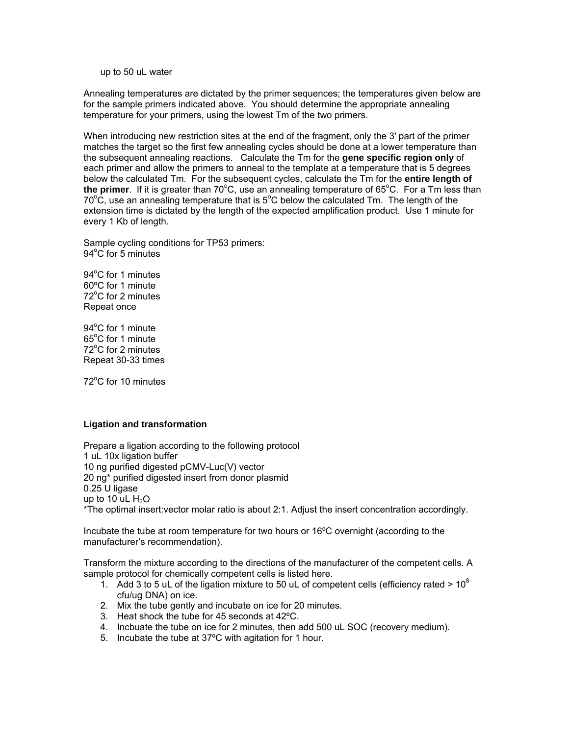up to 50 uL water

Annealing temperatures are dictated by the primer sequences; the temperatures given below are for the sample primers indicated above. You should determine the appropriate annealing temperature for your primers, using the lowest Tm of the two primers.

When introducing new restriction sites at the end of the fragment, only the 3' part of the primer matches the target so the first few annealing cycles should be done at a lower temperature than the subsequent annealing reactions. Calculate the Tm for the **gene specific region only** of each primer and allow the primers to anneal to the template at a temperature that is 5 degrees below the calculated Tm. For the subsequent cycles, calculate the Tm for the **entire length of**  the primer. If it is greater than 70°C, use an annealing temperature of 65°C. For a Tm less than  $70^{\circ}$ C, use an annealing temperature that is  $5^{\circ}$ C below the calculated Tm. The length of the extension time is dictated by the length of the expected amplification product. Use 1 minute for every 1 Kb of length.

Sample cycling conditions for TP53 primers: 94°C for 5 minutes

94°C for 1 minutes 60ºC for 1 minute 72°C for 2 minutes Repeat once

94°C for 1 minute 65°C for 1 minute 72°C for 2 minutes Repeat 30-33 times

72°C for 10 minutes

#### **Ligation and transformation**

Prepare a ligation according to the following protocol 1 uL 10x ligation buffer 10 ng purified digested pCMV-Luc(V) vector 20 ng\* purified digested insert from donor plasmid 0.25 U ligase up to 10 uL  $H<sub>2</sub>O$ \*The optimal insert:vector molar ratio is about 2:1. Adjust the insert concentration accordingly.

Incubate the tube at room temperature for two hours or 16ºC overnight (according to the manufacturer's recommendation).

Transform the mixture according to the directions of the manufacturer of the competent cells. A sample protocol for chemically competent cells is listed here.

- 1. Add 3 to 5 uL of the ligation mixture to 50 uL of competent cells (efficiency rated  $> 10^8$ ) cfu/ug DNA) on ice.
- 2. Mix the tube gently and incubate on ice for 20 minutes.
- 3. Heat shock the tube for 45 seconds at 42ºC.
- 4. Incbuate the tube on ice for 2 minutes, then add 500 uL SOC (recovery medium).
- 5. Incubate the tube at 37ºC with agitation for 1 hour.